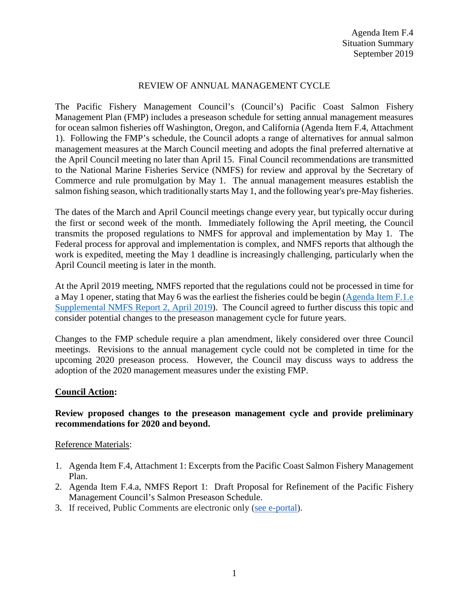# REVIEW OF ANNUAL MANAGEMENT CYCLE

The Pacific Fishery Management Council's (Council's) Pacific Coast Salmon Fishery Management Plan (FMP) includes a preseason schedule for setting annual management measures for ocean salmon fisheries off Washington, Oregon, and California (Agenda Item F.4, Attachment 1). Following the FMP's schedule, the Council adopts a range of alternatives for annual salmon management measures at the March Council meeting and adopts the final preferred alternative at the April Council meeting no later than April 15. Final Council recommendations are transmitted to the National Marine Fisheries Service (NMFS) for review and approval by the Secretary of Commerce and rule promulgation by May 1. The annual management measures establish the salmon fishing season, which traditionally starts May 1, and the following year's pre-May fisheries.

The dates of the March and April Council meetings change every year, but typically occur during the first or second week of the month. Immediately following the April meeting, the Council transmits the proposed regulations to NMFS for approval and implementation by May 1. The Federal process for approval and implementation is complex, and NMFS reports that although the work is expedited, meeting the May 1 deadline is increasingly challenging, particularly when the April Council meeting is later in the month.

At the April 2019 meeting, NMFS reported that the regulations could not be processed in time for a May 1 opener, stating that May 6 was the earliest the fisheries could be begin [\(Agenda Item F.1.e](https://www.pcouncil.org/wp-content/uploads/2019/04/F1e_Supp_NMFS_Rpt2_Schedule_APR2019BB.pdf)  [Supplemental NMFS Report 2, April 2019\)](https://www.pcouncil.org/wp-content/uploads/2019/04/F1e_Supp_NMFS_Rpt2_Schedule_APR2019BB.pdf). The Council agreed to further discuss this topic and consider potential changes to the preseason management cycle for future years.

Changes to the FMP schedule require a plan amendment, likely considered over three Council meetings. Revisions to the annual management cycle could not be completed in time for the upcoming 2020 preseason process. However, the Council may discuss ways to address the adoption of the 2020 management measures under the existing FMP.

# **Council Action:**

# **Review proposed changes to the preseason management cycle and provide preliminary recommendations for 2020 and beyond.**

#### Reference Materials:

- 1. Agenda Item F.4, Attachment 1: Excerpts from the Pacific Coast Salmon Fishery Management Plan.
- 2. Agenda Item F.4.a, NMFS Report 1: Draft Proposal for Refinement of the Pacific Fishery Management Council's Salmon Preseason Schedule.
- 3. If received, Public Comments are electronic only [\(see e-portal\)](https://pfmc.psmfc.org/).